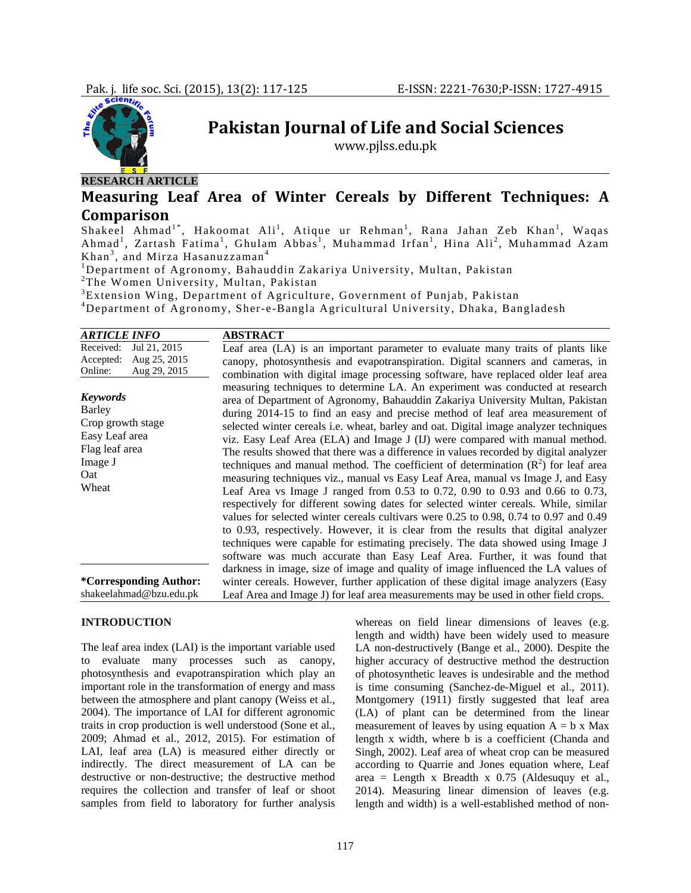

**RESEARCH ARTICLE**

**Pakistan Journal of Life and Social Sciences**

www.pjlss.edu.pk

**Measuring Leaf Area of Winter Cereals by Different Techniques: A Comparison**

Shakeel Ahmad<sup>1\*</sup>, Hakoomat Ali<sup>1</sup>, Atique ur Rehman<sup>1</sup>, Rana Jahan Zeb Khan<sup>1</sup>, Waqas Ahmad<sup>1</sup>, Zartash Fatima<sup>1</sup>, Ghulam Abbas<sup>1</sup>, Muhammad Irfan<sup>1</sup>, Hina Ali<sup>2</sup>, Muhammad Azam Khan<sup>3</sup>, and Mirza Hasanuzzaman<sup>4</sup><br><sup>1</sup>Department of Asronomy, Behau

Department of Agronomy, Bahauddin Zakariya University, Multan, Pakistan 2

<sup>2</sup>The Women University, Multan, Pakistan

3 Extension Wing, Department of Agriculture, Government of Punjab, Pakistan

4 Department of Agronomy, Sher-e-Bangla Agricultural University, Dhaka, Bangladesh

| <b>ARTICLE INFO</b>                                                                                                                                                                                | <b>ABSTRACT</b>                                                                                                                                                                                                                                                                                                                                                                                                                                                                                                                                                                                                                                                                                                                                                                                                                                                                                                                                                                                                                                                                                                                                                                                                                                                                                                                                                                                                                                                                                       |
|----------------------------------------------------------------------------------------------------------------------------------------------------------------------------------------------------|-------------------------------------------------------------------------------------------------------------------------------------------------------------------------------------------------------------------------------------------------------------------------------------------------------------------------------------------------------------------------------------------------------------------------------------------------------------------------------------------------------------------------------------------------------------------------------------------------------------------------------------------------------------------------------------------------------------------------------------------------------------------------------------------------------------------------------------------------------------------------------------------------------------------------------------------------------------------------------------------------------------------------------------------------------------------------------------------------------------------------------------------------------------------------------------------------------------------------------------------------------------------------------------------------------------------------------------------------------------------------------------------------------------------------------------------------------------------------------------------------------|
| Received:<br>Jul 21, 2015<br>Accepted:<br>Aug 25, 2015<br>Aug 29, 2015<br>Online:<br><b>Keywords</b><br>Barley<br>Crop growth stage<br>Easy Leaf area<br>Flag leaf area<br>Image J<br>Oat<br>Wheat | Leaf area (LA) is an important parameter to evaluate many traits of plants like<br>canopy, photosynthesis and evapotranspiration. Digital scanners and cameras, in<br>combination with digital image processing software, have replaced older leaf area<br>measuring techniques to determine LA. An experiment was conducted at research<br>area of Department of Agronomy, Bahauddin Zakariya University Multan, Pakistan<br>during 2014-15 to find an easy and precise method of leaf area measurement of<br>selected winter cereals <i>i.e.</i> wheat, barley and oat. Digital image analyzer techniques<br>viz. Easy Leaf Area (ELA) and Image J (IJ) were compared with manual method.<br>The results showed that there was a difference in values recorded by digital analyzer<br>techniques and manual method. The coefficient of determination $(R2)$ for leaf area<br>measuring techniques viz., manual vs Easy Leaf Area, manual vs Image J, and Easy<br>Leaf Area vs Image J ranged from $0.53$ to $0.72$ , $0.90$ to $0.93$ and $0.66$ to $0.73$ ,<br>respectively for different sowing dates for selected winter cereals. While, similar<br>values for selected winter cereals cultivars were 0.25 to 0.98, 0.74 to 0.97 and 0.49<br>to 0.93, respectively. However, it is clear from the results that digital analyzer<br>techniques were capable for estimating precisely. The data showed using Image J<br>software was much accurate than Easy Leaf Area. Further, it was found that |
| *Corresponding Author:<br>shakeelahmad@bzu.edu.pk                                                                                                                                                  | darkness in image, size of image and quality of image influenced the LA values of<br>winter cereals. However, further application of these digital image analyzers (Easy<br>Leaf Area and Image J) for leaf area measurements may be used in other field crops.                                                                                                                                                                                                                                                                                                                                                                                                                                                                                                                                                                                                                                                                                                                                                                                                                                                                                                                                                                                                                                                                                                                                                                                                                                       |

### **INTRODUCTION**

The leaf area index (LAI) is the important variable used to evaluate many processes such as canopy, photosynthesis and evapotranspiration which play an important role in the transformation of energy and mass between the atmosphere and plant canopy (Weiss et al., 2004). The importance of LAI for different agronomic traits in crop production is well understood (Sone et al., 2009; Ahmad et al., 2012, 2015). For estimation of LAI, leaf area (LA) is measured either directly or indirectly. The direct measurement of LA can be destructive or non-destructive; the destructive method requires the collection and transfer of leaf or shoot samples from field to laboratory for further analysis

whereas on field linear dimensions of leaves (e.g. length and width) have been widely used to measure LA non-destructively (Bange et al., 2000). Despite the higher accuracy of destructive method the destruction of photosynthetic leaves is undesirable and the method is time consuming (Sanchez-de-Miguel et al., 2011). Montgomery (1911) firstly suggested that leaf area (LA) of plant can be determined from the linear measurement of leaves by using equation  $A = b \times Max$ length x width, where b is a coefficient (Chanda and Singh, 2002). Leaf area of wheat crop can be measured according to Quarrie and Jones equation where, Leaf area = Length x Breadth x  $0.75$  (Aldesuquy et al., 2014). Measuring linear dimension of leaves (e.g. length and width) is a well-established method of non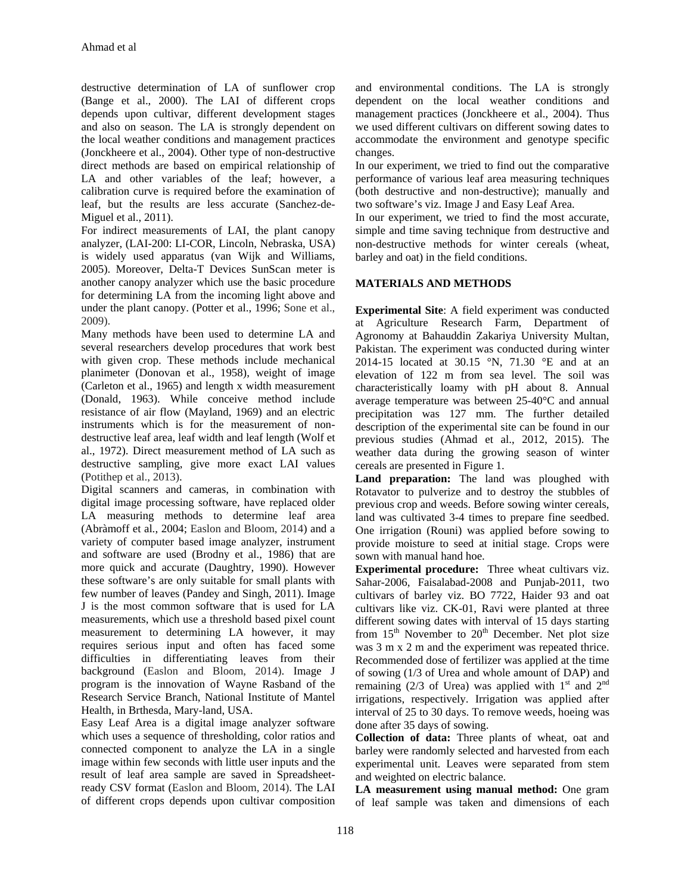destructive determination of LA of sunflower crop (Bange et al., 2000). The LAI of different crops depends upon cultivar, different development stages and also on season. The LA is strongly dependent on the local weather conditions and management practices (Jonckheere et al., 2004). Other type of non-destructive direct methods are based on empirical relationship of LA and other variables of the leaf; however, a calibration curve is required before the examination of leaf, but the results are less accurate (Sanchez-de-Miguel et al., 2011).

For indirect measurements of LAI, the plant canopy analyzer, (LAI-200: LI-COR, Lincoln, Nebraska, USA) is widely used apparatus (van Wijk and Williams, 2005). Moreover, Delta-T Devices SunScan meter is another canopy analyzer which use the basic procedure for determining LA from the incoming light above and under the plant canopy. (Potter et al., 1996; Sone et al., 2009).

Many methods have been used to determine LA and several researchers develop procedures that work best with given crop. These methods include mechanical planimeter (Donovan et al., 1958), weight of image (Carleton et al., 1965) and length x width measurement (Donald, 1963). While conceive method include resistance of air flow (Mayland, 1969) and an electric instruments which is for the measurement of nondestructive leaf area, leaf width and leaf length (Wolf et al., 1972). Direct measurement method of LA such as destructive sampling, give more exact LAI values (Potithep et al., 2013).

Digital scanners and cameras, in combination with digital image processing software, have replaced older LA measuring methods to determine leaf area (Abràmoff et al., 2004; Easlon and Bloom, 2014) and a variety of computer based image analyzer, instrument and software are used (Brodny et al., 1986) that are more quick and accurate (Daughtry, 1990). However these software's are only suitable for small plants with few number of leaves (Pandey and Singh, 2011). Image J is the most common software that is used for LA measurements, which use a threshold based pixel count measurement to determining LA however, it may requires serious input and often has faced some difficulties in differentiating leaves from their background (Easlon and Bloom, 2014). Image J program is the innovation of Wayne Rasband of the Research Service Branch, National Institute of Mantel Health, in Brthesda, Mary-land, USA.

Easy Leaf Area is a digital image analyzer software which uses a sequence of thresholding, color ratios and connected component to analyze the LA in a single image within few seconds with little user inputs and the result of leaf area sample are saved in Spreadsheetready CSV format (Easlon and Bloom, 2014). The LAI of different crops depends upon cultivar composition

and environmental conditions. The LA is strongly dependent on the local weather conditions and management practices (Jonckheere et al., 2004). Thus we used different cultivars on different sowing dates to accommodate the environment and genotype specific changes.

In our experiment, we tried to find out the comparative performance of various leaf area measuring techniques (both destructive and non-destructive); manually and two software's viz. Image J and Easy Leaf Area.

In our experiment, we tried to find the most accurate, simple and time saving technique from destructive and non-destructive methods for winter cereals (wheat, barley and oat) in the field conditions.

# **MATERIALS AND METHODS**

**Experimental Site**: A field experiment was conducted at Agriculture Research Farm, Department of Agronomy at Bahauddin Zakariya University Multan, Pakistan. The experiment was conducted during winter 2014-15 located at 30.15 °N, 71.30 °E and at an elevation of 122 m from sea level. The soil was characteristically loamy with pH about 8. Annual average temperature was between 25-40°C and annual precipitation was 127 mm. The further detailed description of the experimental site can be found in our previous studies (Ahmad et al., 2012, 2015). The weather data during the growing season of winter cereals are presented in Figure 1.

**Land preparation:** The land was ploughed with Rotavator to pulverize and to destroy the stubbles of previous crop and weeds. Before sowing winter cereals, land was cultivated 3-4 times to prepare fine seedbed. One irrigation (Rouni) was applied before sowing to provide moisture to seed at initial stage. Crops were sown with manual hand hoe.

**Experimental procedure:** Three wheat cultivars viz. Sahar-2006, Faisalabad-2008 and Punjab-2011, two cultivars of barley viz. BO 7722, Haider 93 and oat cultivars like viz. CK-01, Ravi were planted at three different sowing dates with interval of 15 days starting from  $15<sup>th</sup>$  November to  $20<sup>th</sup>$  December. Net plot size was 3 m x 2 m and the experiment was repeated thrice. Recommended dose of fertilizer was applied at the time of sowing (1/3 of Urea and whole amount of DAP) and remaining (2/3 of Urea) was applied with  $1<sup>st</sup>$  and  $2<sup>nd</sup>$ irrigations, respectively. Irrigation was applied after interval of 25 to 30 days. To remove weeds, hoeing was done after 35 days of sowing.

**Collection of data:** Three plants of wheat, oat and barley were randomly selected and harvested from each experimental unit. Leaves were separated from stem and weighted on electric balance.

**LA measurement using manual method:** One gram of leaf sample was taken and dimensions of each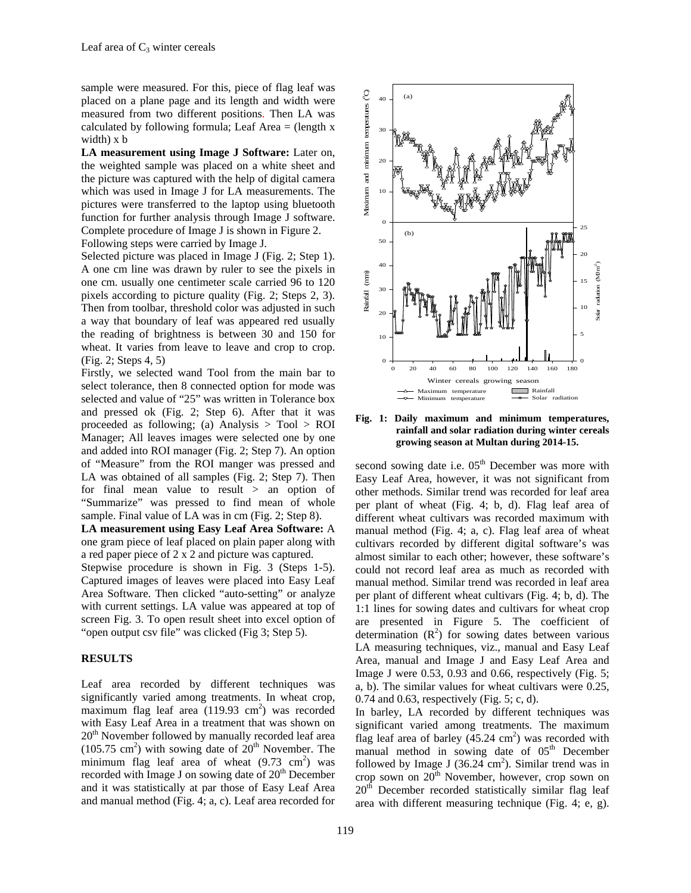sample were measured. For this, piece of flag leaf was placed on a plane page and its length and width were measured from two different positions. Then LA was calculated by following formula; Leaf Area  $=$  (length x width) x b

**LA measurement using Image J Software:** Later on, the weighted sample was placed on a white sheet and the picture was captured with the help of digital camera which was used in Image J for LA measurements. The pictures were transferred to the laptop using bluetooth function for further analysis through Image J software. Complete procedure of Image J is shown in Figure 2. Following steps were carried by Image J.

Selected picture was placed in Image J (Fig. 2; Step 1). A one cm line was drawn by ruler to see the pixels in one cm. usually one centimeter scale carried 96 to 120 pixels according to picture quality (Fig. 2; Steps 2, 3). Then from toolbar, threshold color was adjusted in such a way that boundary of leaf was appeared red usually the reading of brightness is between 30 and 150 for wheat. It varies from leave to leave and crop to crop. (Fig. 2; Steps 4, 5)

Firstly, we selected wand Tool from the main bar to select tolerance, then 8 connected option for mode was selected and value of "25" was written in Tolerance box and pressed ok (Fig. 2; Step 6). After that it was proceeded as following; (a) Analysis  $>$  Tool  $>$  ROI Manager; All leaves images were selected one by one and added into ROI manager (Fig. 2; Step 7). An option of "Measure" from the ROI manger was pressed and LA was obtained of all samples (Fig. 2; Step 7). Then for final mean value to result > an option of "Summarize" was pressed to find mean of whole sample. Final value of LA was in cm (Fig. 2; Step 8).

**LA measurement using Easy Leaf Area Software:** A one gram piece of leaf placed on plain paper along with a red paper piece of 2 x 2 and picture was captured.

Stepwise procedure is shown in Fig. 3 (Steps 1-5). Captured images of leaves were placed into Easy Leaf Area Software. Then clicked "auto-setting" or analyze with current settings. LA value was appeared at top of screen Fig. 3. To open result sheet into excel option of "open output csv file" was clicked (Fig 3; Step 5).

## **RESULTS**

Leaf area recorded by different techniques was significantly varied among treatments. In wheat crop, maximum flag leaf area (119.93 cm<sup>2</sup>) was recorded with Easy Leaf Area in a treatment that was shown on 20<sup>th</sup> November followed by manually recorded leaf area  $(105.75 \text{ cm}^2)$  with sowing date of  $20^{\text{th}}$  November. The minimum flag leaf area of wheat  $(9.73 \text{ cm}^2)$  was recorded with Image J on sowing date of  $20<sup>th</sup>$  December and it was statistically at par those of Easy Leaf Area and manual method (Fig. 4; a, c). Leaf area recorded for



**Fig. 1: Daily maximum and minimum temperatures, rainfall and solar radiation during winter cereals growing season at Multan during 2014-15.** 

second sowing date i.e.  $05<sup>th</sup>$  December was more with Easy Leaf Area, however, it was not significant from other methods. Similar trend was recorded for leaf area per plant of wheat (Fig. 4; b, d). Flag leaf area of different wheat cultivars was recorded maximum with manual method (Fig. 4; a, c). Flag leaf area of wheat cultivars recorded by different digital software's was almost similar to each other; however, these software's could not record leaf area as much as recorded with manual method. Similar trend was recorded in leaf area per plant of different wheat cultivars (Fig. 4; b, d). The 1:1 lines for sowing dates and cultivars for wheat crop are presented in Figure 5. The coefficient of determination  $(R^2)$  for sowing dates between various LA measuring techniques, viz., manual and Easy Leaf Area, manual and Image J and Easy Leaf Area and Image J were 0.53, 0.93 and 0.66, respectively (Fig. 5; a, b). The similar values for wheat cultivars were 0.25, 0.74 and 0.63, respectively (Fig. 5; c, d).

In barley, LA recorded by different techniques was significant varied among treatments. The maximum flag leaf area of barley  $(45.24 \text{ cm}^2)$  was recorded with manual method in sowing date of  $05<sup>th</sup>$  December followed by Image J  $(36.24 \text{ cm}^2)$ . Similar trend was in crop sown on  $20<sup>th</sup>$  November, however, crop sown on 20<sup>th</sup> December recorded statistically similar flag leaf area with different measuring technique (Fig. 4; e, g).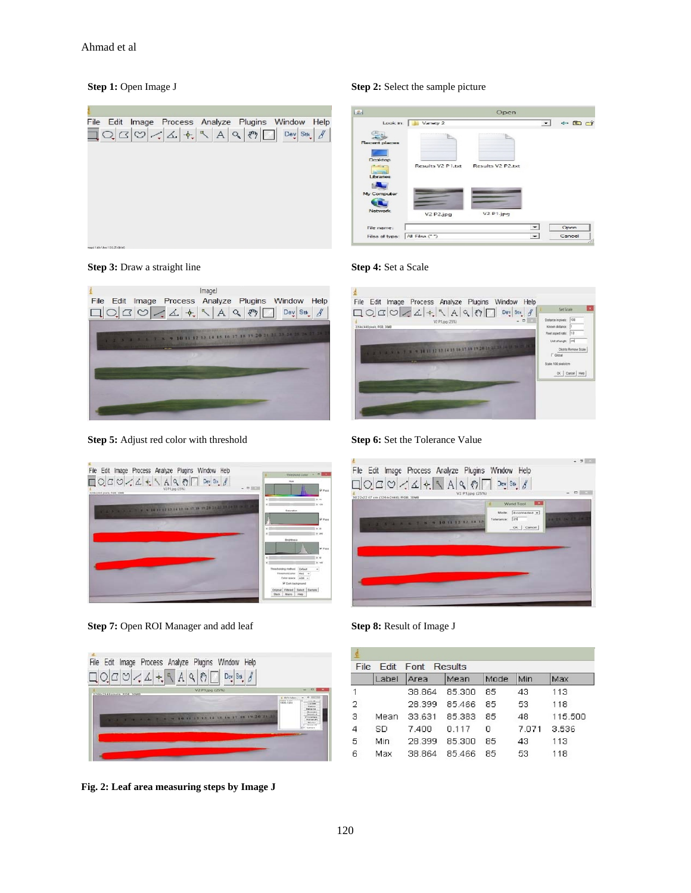

# **Step 1:** Open Image J **Step 2:** Select the sample picture

| 上                                            |                                    | Open                              |                          |                   |  |
|----------------------------------------------|------------------------------------|-----------------------------------|--------------------------|-------------------|--|
| Look in:                                     | Variety 2                          |                                   | $\overline{\phantom{0}}$ | $\leftarrow$ E or |  |
| Recent places                                |                                    |                                   |                          |                   |  |
| Doaldop<br>$\frac{1}{2}$<br><b>Libraries</b> | Results V2 P1.txt                  | Results V2 P2.bt                  |                          |                   |  |
| My Computer                                  |                                    |                                   |                          |                   |  |
| Network.                                     | V <sub>2</sub> P <sub>2</sub> .jpg | V <sub>2</sub> P <sub>1.jpg</sub> |                          |                   |  |
| File name:                                   |                                    |                                   | $\overline{ }$           | Open              |  |
| Files of type:                               | All Files (**)                     |                                   | $\overline{\phantom{0}}$ | Cancel            |  |





**Step 5:** Adjust red color with threshold **Step 6:** Set the Tolerance Value



**Step 7:** Open ROI Manager and add leaf **Step 8:** Result of Image J



**Fig. 2: Leaf area measuring steps by Image J** 







| File<br><b>Fdit</b><br>Font<br>Results |       |        |        |      |       |         |  |
|----------------------------------------|-------|--------|--------|------|-------|---------|--|
|                                        | Label | Area   | Mean   | Mode | Min   | Max     |  |
|                                        |       | 38.864 | 85.300 | 85   | 43    | 113     |  |
| 2                                      |       | 28.399 | 85.466 | 85   | 53    | 118     |  |
| з                                      | Mean  | 33.631 | 85.383 | 85   | 48    | 115,500 |  |
| 4                                      | SD    | 7.400  | 0.117  | Ω    | 7.071 | 3.536   |  |
| 5                                      | Min   | 28.399 | 85.300 | 85   | 43    | 113     |  |
| 6                                      | Мах   | 38.864 | 85.466 | 85   | 53    | 118     |  |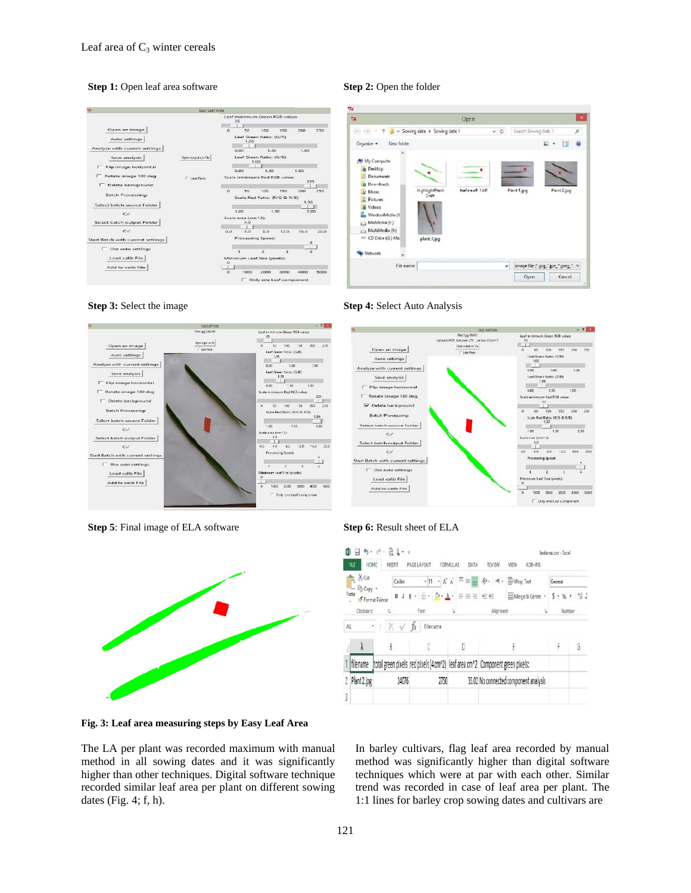### **Step 1:** Open leaf area software **Step 2:** Open the folder





**Step 5**: Final image of ELA software **Step 6:** Result sheet of ELA



**Fig. 3: Leaf area measuring steps by Easy Leaf Area** 

The LA per plant was recorded maximum with manual method in all sowing dates and it was significantly higher than other techniques. Digital software technique recorded similar leaf area per plant on different sowing dates (Fig. 4; f, h).



### **Step 3:** Select the image **Step 4:** Select Auto Analysis







In barley cultivars, flag leaf area recorded by manual method was significantly higher than digital software techniques which were at par with each other. Similar trend was recorded in case of leaf area per plant. The 1:1 lines for barley crop sowing dates and cultivars are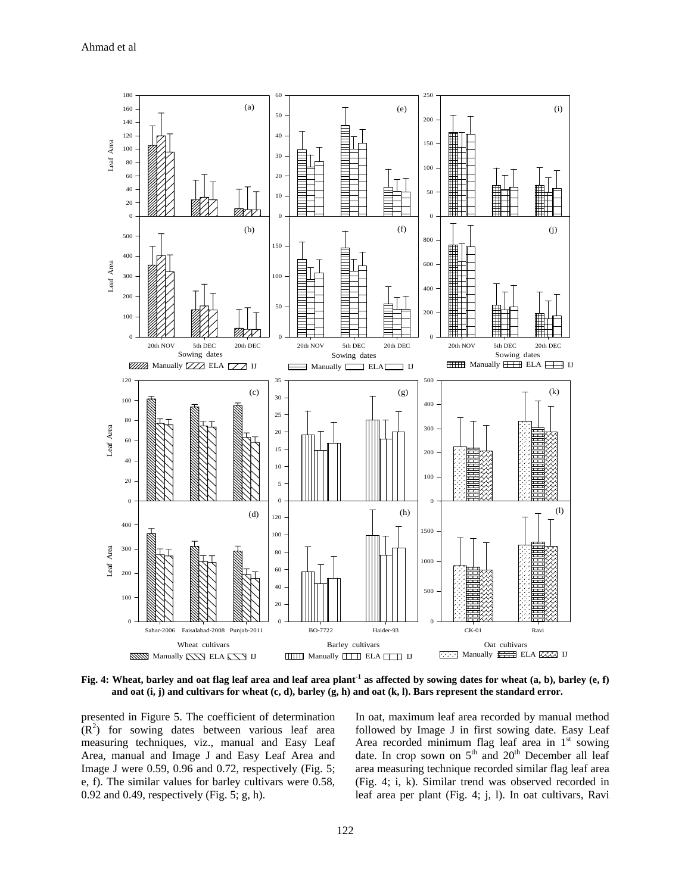

**Fig. 4: Wheat, barley and oat flag leaf area and leaf area plant-1 as affected by sowing dates for wheat (a, b), barley (e, f) and oat (i, j) and cultivars for wheat (c, d), barley (g, h) and oat (k, l). Bars represent the standard error.** 

presented in Figure 5. The coefficient of determination  $(R<sup>2</sup>)$  for sowing dates between various leaf area measuring techniques, viz., manual and Easy Leaf Area, manual and Image J and Easy Leaf Area and Image J were 0.59, 0.96 and 0.72, respectively (Fig. 5; e, f). The similar values for barley cultivars were 0.58, 0.92 and 0.49, respectively (Fig. 5; g, h).

In oat, maximum leaf area recorded by manual method followed by Image J in first sowing date. Easy Leaf Area recorded minimum flag leaf area in  $1<sup>st</sup>$  sowing date. In crop sown on  $5<sup>th</sup>$  and  $20<sup>th</sup>$  December all leaf area measuring technique recorded similar flag leaf area (Fig. 4; i, k). Similar trend was observed recorded in leaf area per plant (Fig. 4; j, l). In oat cultivars, Ravi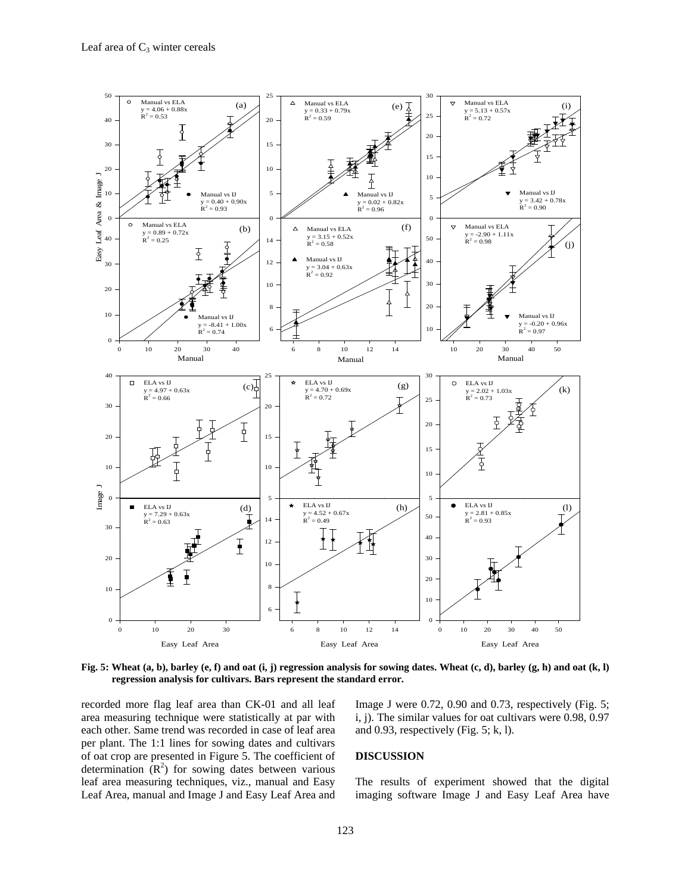

**Fig. 5: Wheat (a, b), barley (e, f) and oat (i, j) regression analysis for sowing dates. Wheat (c, d), barley (g, h) and oat (k, l) regression analysis for cultivars. Bars represent the standard error.** 

recorded more flag leaf area than CK-01 and all leaf area measuring technique were statistically at par with each other. Same trend was recorded in case of leaf area per plant. The 1:1 lines for sowing dates and cultivars of oat crop are presented in Figure 5. The coefficient of determination  $(R^2)$  for sowing dates between various leaf area measuring techniques, viz., manual and Easy Leaf Area, manual and Image J and Easy Leaf Area and

Image J were 0.72, 0.90 and 0.73, respectively (Fig. 5; i, j). The similar values for oat cultivars were 0.98, 0.97 and 0.93, respectively (Fig.  $5$ ; k, l).

## **DISCUSSION**

The results of experiment showed that the digital imaging software Image J and Easy Leaf Area have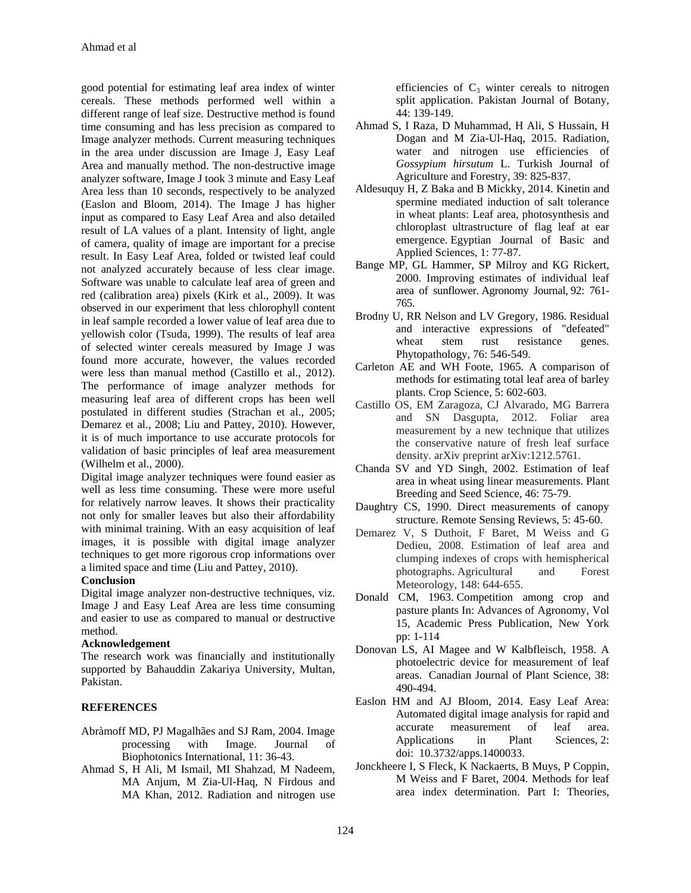good potential for estimating leaf area index of winter cereals. These methods performed well within a different range of leaf size. Destructive method is found time consuming and has less precision as compared to Image analyzer methods. Current measuring techniques in the area under discussion are Image J, Easy Leaf Area and manually method. The non-destructive image analyzer software, Image J took 3 minute and Easy Leaf Area less than 10 seconds, respectively to be analyzed (Easlon and Bloom, 2014). The Image J has higher input as compared to Easy Leaf Area and also detailed result of LA values of a plant. Intensity of light, angle of camera, quality of image are important for a precise result. In Easy Leaf Area, folded or twisted leaf could not analyzed accurately because of less clear image. Software was unable to calculate leaf area of green and red (calibration area) pixels (Kirk et al., 2009). It was observed in our experiment that less chlorophyll content in leaf sample recorded a lower value of leaf area due to yellowish color (Tsuda, 1999). The results of leaf area of selected winter cereals measured by Image J was found more accurate, however, the values recorded were less than manual method (Castillo et al., 2012). The performance of image analyzer methods for measuring leaf area of different crops has been well postulated in different studies (Strachan et al., 2005; Demarez et al., 2008; Liu and Pattey, 2010). However, it is of much importance to use accurate protocols for validation of basic principles of leaf area measurement (Wilhelm et al., 2000).

Digital image analyzer techniques were found easier as well as less time consuming. These were more useful for relatively narrow leaves. It shows their practicality not only for smaller leaves but also their affordability with minimal training. With an easy acquisition of leaf images, it is possible with digital image analyzer techniques to get more rigorous crop informations over a limited space and time (Liu and Pattey, 2010).

### **Conclusion**

Digital image analyzer non-destructive techniques, viz. Image J and Easy Leaf Area are less time consuming and easier to use as compared to manual or destructive method.

## **Acknowledgement**

The research work was financially and institutionally supported by Bahauddin Zakariya University, Multan, Pakistan.

# **REFERENCES**

- Abràmoff MD, PJ Magalhães and SJ Ram, 2004. Image processing with Image. Journal of Biophotonics International, 11: 36-43.
- Ahmad S, H Ali, M Ismail, MI Shahzad, M Nadeem, MA Anjum, M Zia-Ul-Haq, N Firdous and MA Khan, 2012. Radiation and nitrogen use

efficiencies of  $C_3$  winter cereals to nitrogen split application. Pakistan Journal of Botany, 44: 139-149.

- Ahmad S, I Raza, D Muhammad, H Ali, S Hussain, H Dogan and M Zia-Ul-Haq, 2015. Radiation, water and nitrogen use efficiencies of *Gossypium hirsutum* L. Turkish Journal of Agriculture and Forestry, 39: 825-837.
- Aldesuquy H, Z Baka and B Mickky, 2014. Kinetin and spermine mediated induction of salt tolerance in wheat plants: Leaf area, photosynthesis and chloroplast ultrastructure of flag leaf at ear emergence. Egyptian Journal of Basic and Applied Sciences, 1: 77-87.
- Bange MP, GL Hammer, SP Milroy and KG Rickert, 2000. Improving estimates of individual leaf area of sunflower. Agronomy Journal, 92: 761- 765.
- Brodny U, RR Nelson and LV Gregory, 1986. Residual and interactive expressions of "defeated" wheat stem rust resistance genes. Phytopathology, 76: 546-549.
- Carleton AE and WH Foote, 1965. A comparison of methods for estimating total leaf area of barley plants. Crop Science, 5: 602-603.
- Castillo OS, EM Zaragoza, CJ Alvarado, MG Barrera and SN Dasgupta, 2012. Foliar area measurement by a new technique that utilizes the conservative nature of fresh leaf surface density. arXiv preprint arXiv:1212.5761.
- Chanda SV and YD Singh, 2002. Estimation of leaf area in wheat using linear measurements. Plant Breeding and Seed Science, 46: 75-79.
- Daughtry CS, 1990. Direct measurements of canopy structure. Remote Sensing Reviews, 5: 45-60.
- Demarez V, S Duthoit, F Baret, M Weiss and G Dedieu, 2008. Estimation of leaf area and clumping indexes of crops with hemispherical photographs. Agricultural and Forest Meteorology, 148: 644-655.
- Donald CM, 1963. Competition among crop and pasture plants In: Advances of Agronomy, Vol 15, Academic Press Publication, New York pp: 1-114
- Donovan LS, AI Magee and W Kalbfleisch, 1958. A photoelectric device for measurement of leaf areas. Canadian Journal of Plant Science, 38: 490-494.
- Easlon HM and AJ Bloom, 2014. Easy Leaf Area: Automated digital image analysis for rapid and accurate measurement of leaf area. Applications in Plant Sciences, 2: doi: 10.3732/apps.1400033.
- Jonckheere I, S Fleck, K Nackaerts, B Muys, P Coppin, M Weiss and F Baret, 2004. Methods for leaf area index determination. Part I: Theories,